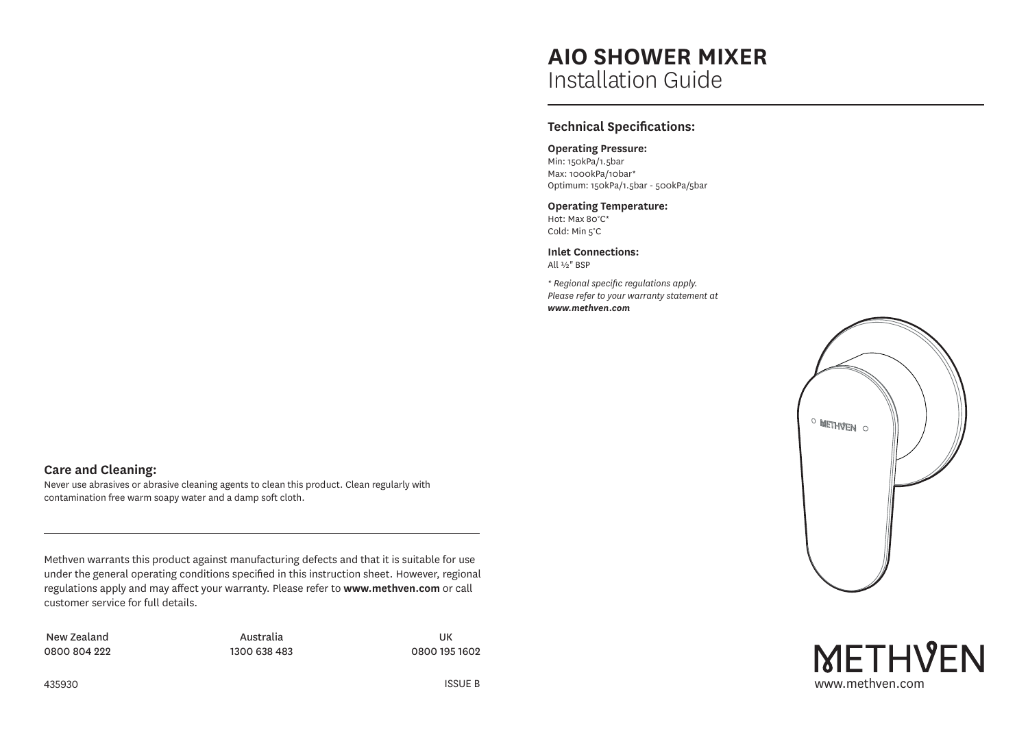# **AIO SHOWER MIXER** Installation Guide

# **Technical Specifications:**

# **Operating Pressure:**

Min: 150kPa/1.5bar Max: 1000kPa/10bar\* Optimum: 150kPa/1.5bar - 500kPa/5bar

#### **Operating Temperature:**

Hot: Max 80°C\* Cold: Min 5°C

**Inlet Connections:** All ½" BSP

*\* Regional specific regulations apply. Please refer to your warranty statement at www.methven.com*





# **Care and Cleaning:**

Never use abrasives or abrasive cleaning agents to clean this product. Clean regularly with contamination free warm soapy water and a damp soft cloth.

Methven warrants this product against manufacturing defects and that it is suitable for use under the general operating conditions specified in this instruction sheet. However, regional regulations apply and may affect your warranty. Please refer to **www.methven.com** or call customer service for full details.

New Zealand 0800 804 222

Australia 1300 638 483

UK 0800 195 1602